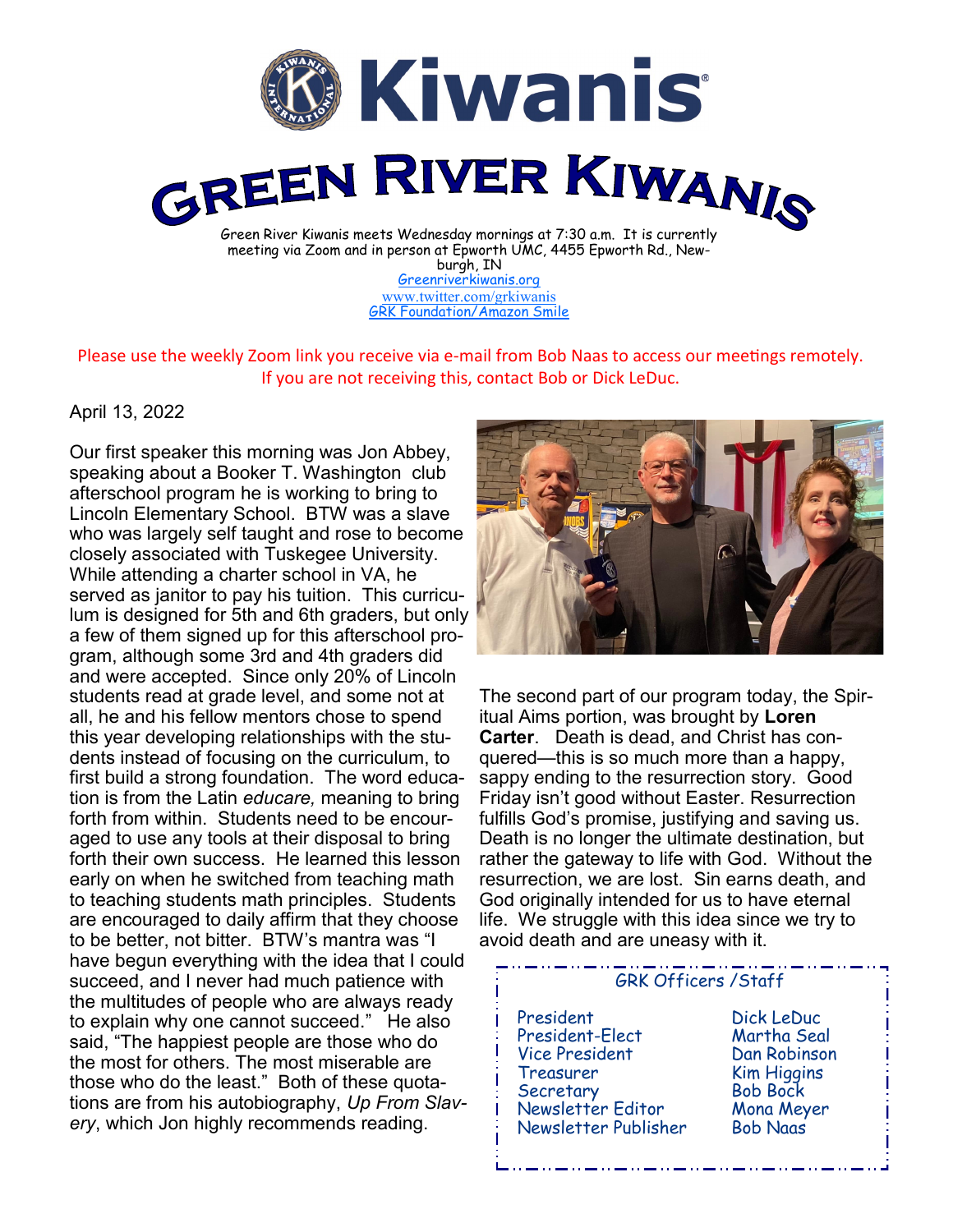

[Greenriverkiwanis.org](http://greenriverkiwanis.org/default.aspx) [www.twitter.com/grkiwanis](http://www.twitter.com/grkiwanis) [GRK Foundation/Amazon Smile](https://smile.amazon.com/ch/81-0946403)

Please use the weekly Zoom link you receive via e-mail from Bob Naas to access our meetings remotely. If you are not receiving this, contact Bob or Dick LeDuc.

## April 13, 2022

Our first speaker this morning was Jon Abbey, speaking about a Booker T. Washington club afterschool program he is working to bring to Lincoln Elementary School. BTW was a slave who was largely self taught and rose to become closely associated with Tuskegee University. While attending a charter school in VA, he served as janitor to pay his tuition. This curriculum is designed for 5th and 6th graders, but only a few of them signed up for this afterschool program, although some 3rd and 4th graders did and were accepted. Since only 20% of Lincoln students read at grade level, and some not at all, he and his fellow mentors chose to spend this year developing relationships with the students instead of focusing on the curriculum, to first build a strong foundation. The word education is from the Latin *educare,* meaning to bring forth from within. Students need to be encouraged to use any tools at their disposal to bring forth their own success. He learned this lesson early on when he switched from teaching math to teaching students math principles. Students are encouraged to daily affirm that they choose to be better, not bitter. BTW's mantra was "I have begun everything with the idea that I could succeed, and I never had much patience with the multitudes of people who are always ready to explain why one cannot succeed." He also said, "The happiest people are those who do the most for others. The most miserable are those who do the least." Both of these quotations are from his autobiography, *Up From Slavery*, which Jon highly recommends reading.



The second part of our program today, the Spiritual Aims portion, was brought by **Loren Carter**. Death is dead, and Christ has conquered—this is so much more than a happy, sappy ending to the resurrection story. Good Friday isn't good without Easter. Resurrection fulfills God's promise, justifying and saving us. Death is no longer the ultimate destination, but rather the gateway to life with God. Without the resurrection, we are lost. Sin earns death, and God originally intended for us to have eternal life. We struggle with this idea since we try to avoid death and are uneasy with it.

## GRK Officers /Staff

 President Dick LeDuc President-Elect Vice President Dan Robinson Treasurer Kim Higgins Secretary Bob Bock Newsletter Editor Mona Meyer Newsletter Publisher Bob Naas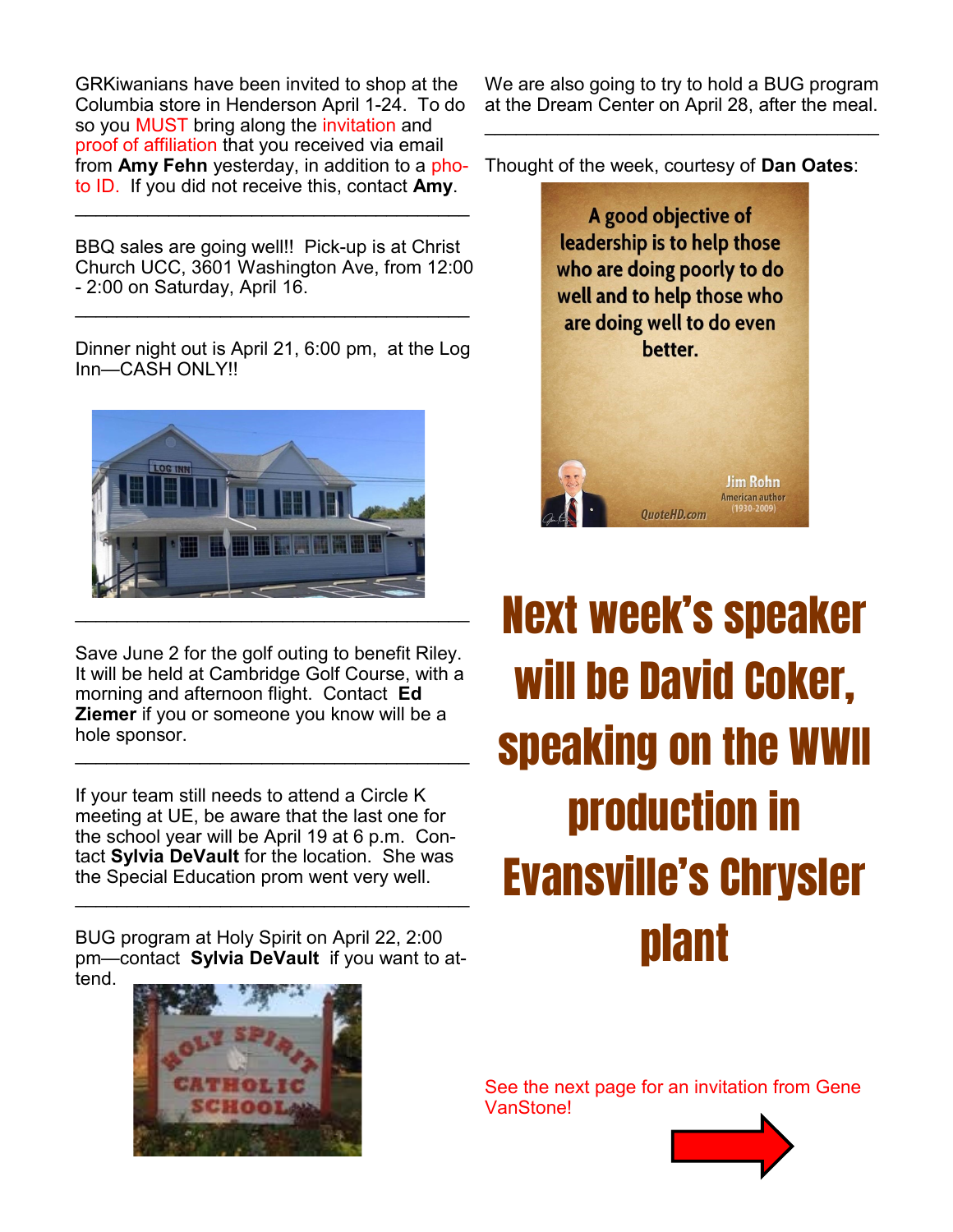GRKiwanians have been invited to shop at the Columbia store in Henderson April 1-24. To do so you MUST bring along the invitation and proof of affiliation that you received via email from **Amy Fehn** yesterday, in addition to a photo ID. If you did not receive this, contact **Amy**.

BBQ sales are going well!! Pick-up is at Christ Church UCC, 3601 Washington Ave, from 12:00 - 2:00 on Saturday, April 16.

 $\mathcal{L}_\text{max}$  , and the set of the set of the set of the set of the set of the set of the set of the set of the set of the set of the set of the set of the set of the set of the set of the set of the set of the set of the

 $\mathcal{L}_\text{max}$  , and the set of the set of the set of the set of the set of the set of the set of the set of the set of the set of the set of the set of the set of the set of the set of the set of the set of the set of the

Dinner night out is April 21, 6:00 pm, at the Log Inn—CASH ONLY!!



Save June 2 for the golf outing to benefit Riley. It will be held at Cambridge Golf Course, with a morning and afternoon flight. Contact **Ed Ziemer** if you or someone you know will be a hole sponsor. \_\_\_\_\_\_\_\_\_\_\_\_\_\_\_\_\_\_\_\_\_\_\_\_\_\_\_\_\_\_\_\_\_\_\_\_\_\_

If your team still needs to attend a Circle K meeting at UE, be aware that the last one for the school year will be April 19 at 6 p.m. Contact **Sylvia DeVault** for the location. She was the Special Education prom went very well.

BUG program at Holy Spirit on April 22, 2:00 pm—contact **Sylvia DeVault** if you want to attend.

\_\_\_\_\_\_\_\_\_\_\_\_\_\_\_\_\_\_\_\_\_\_\_\_\_\_\_\_\_\_\_\_\_\_\_\_\_\_



We are also going to try to hold a BUG program at the Dream Center on April 28, after the meal.

 $\mathcal{L}_\text{max}$  , and the set of the set of the set of the set of the set of the set of the set of the set of the set of the set of the set of the set of the set of the set of the set of the set of the set of the set of the

Thought of the week, courtesy of **Dan Oates**:



Next week's speaker will be David Coker, speaking on the WWII production in Evansville's Chrysler plant

See the next page for an invitation from Gene VanStone!